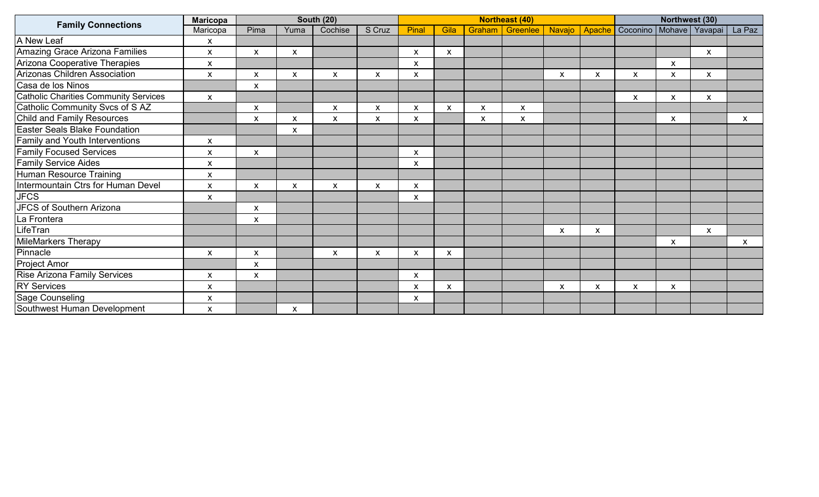| <b>Family Connections</b>             | <b>Maricopa</b>           |                           | <b>Northeast (40)</b> |                    |                    |              |      |                           | Northwest (30) |                    |   |                 |                           |                |                           |
|---------------------------------------|---------------------------|---------------------------|-----------------------|--------------------|--------------------|--------------|------|---------------------------|----------------|--------------------|---|-----------------|---------------------------|----------------|---------------------------|
|                                       | Maricopa                  | Pima                      | Yuma                  | Cochise            | S Cruz             | Pinal        | Gila | Graham                    | Greenlee       | Navajo             |   | Apache Coconino |                           | Mohave Yavapai | La Paz                    |
| A New Leaf                            | $\pmb{\mathsf{X}}$        |                           |                       |                    |                    |              |      |                           |                |                    |   |                 |                           |                |                           |
| Amazing Grace Arizona Families        | X                         | X                         | X                     |                    |                    | X            | X    |                           |                |                    |   |                 |                           | X              |                           |
| Arizona Cooperative Therapies         | $\pmb{\mathsf{x}}$        |                           |                       |                    |                    | X            |      |                           |                |                    |   |                 | X                         |                |                           |
| <b>Arizonas Children Association</b>  | $\boldsymbol{\mathsf{X}}$ | X                         | X                     | X                  | $\pmb{\mathsf{X}}$ | $\mathsf{x}$ |      |                           |                | X                  | X | X               | X                         | $\mathsf{x}$   |                           |
| Casa de los Ninos                     |                           | $\pmb{\mathsf{X}}$        |                       |                    |                    |              |      |                           |                |                    |   |                 |                           |                |                           |
| Catholic Charities Community Services | $\pmb{\chi}$              |                           |                       |                    |                    |              |      |                           |                |                    |   | X               | X                         | X              |                           |
| Catholic Community Svcs of SAZ        |                           | X                         |                       | X                  | X                  | X            | X    | $\boldsymbol{\mathsf{x}}$ | X              |                    |   |                 |                           |                |                           |
| <b>Child and Family Resources</b>     |                           | $\pmb{\mathsf{X}}$        | $\pmb{\mathsf{X}}$    | X                  | $\pmb{\mathsf{X}}$ | X            |      | X                         | X              |                    |   |                 | $\boldsymbol{\mathsf{X}}$ |                | X                         |
| <b>Easter Seals Blake Foundation</b>  |                           |                           | X                     |                    |                    |              |      |                           |                |                    |   |                 |                           |                |                           |
| Family and Youth Interventions        | X                         |                           |                       |                    |                    |              |      |                           |                |                    |   |                 |                           |                |                           |
| <b>Family Focused Services</b>        | $\pmb{\times}$            | X                         |                       |                    |                    | X            |      |                           |                |                    |   |                 |                           |                |                           |
| <b>Family Service Aides</b>           | X                         |                           |                       |                    |                    | X            |      |                           |                |                    |   |                 |                           |                |                           |
| Human Resource Training               | $\pmb{\times}$            |                           |                       |                    |                    |              |      |                           |                |                    |   |                 |                           |                |                           |
| Intermountain Ctrs for Human Devel    | $\pmb{\times}$            | X                         | X                     | X                  | X                  | X            |      |                           |                |                    |   |                 |                           |                |                           |
| <b>JFCS</b>                           | X                         |                           |                       |                    |                    | X            |      |                           |                |                    |   |                 |                           |                |                           |
| <b>JFCS of Southern Arizona</b>       |                           | $\pmb{\mathsf{X}}$        |                       |                    |                    |              |      |                           |                |                    |   |                 |                           |                |                           |
| La Frontera                           |                           | $\pmb{\mathsf{X}}$        |                       |                    |                    |              |      |                           |                |                    |   |                 |                           |                |                           |
| LifeTran                              |                           |                           |                       |                    |                    |              |      |                           |                | $\pmb{\mathsf{X}}$ | X |                 |                           | $\mathsf{X}$   |                           |
| <b>MileMarkers Therapy</b>            |                           |                           |                       |                    |                    |              |      |                           |                |                    |   |                 | $\boldsymbol{\mathsf{x}}$ |                | $\boldsymbol{\mathsf{x}}$ |
| Pinnacle                              | X                         | X                         |                       | $\pmb{\mathsf{X}}$ | $\pmb{\mathsf{x}}$ | X            | X    |                           |                |                    |   |                 |                           |                |                           |
| Project Amor                          |                           | X                         |                       |                    |                    |              |      |                           |                |                    |   |                 |                           |                |                           |
| <b>Rise Arizona Family Services</b>   | $\mathsf{x}$              | $\boldsymbol{\mathsf{x}}$ |                       |                    |                    | X            |      |                           |                |                    |   |                 |                           |                |                           |
| <b>RY Services</b>                    | X                         |                           |                       |                    |                    | X            | X    |                           |                | X                  | X | X               | X                         |                |                           |
| Sage Counseling                       | X                         |                           |                       |                    |                    | X            |      |                           |                |                    |   |                 |                           |                |                           |
| Southwest Human Development           | $\pmb{\times}$            |                           | $\pmb{\mathsf{X}}$    |                    |                    |              |      |                           |                |                    |   |                 |                           |                |                           |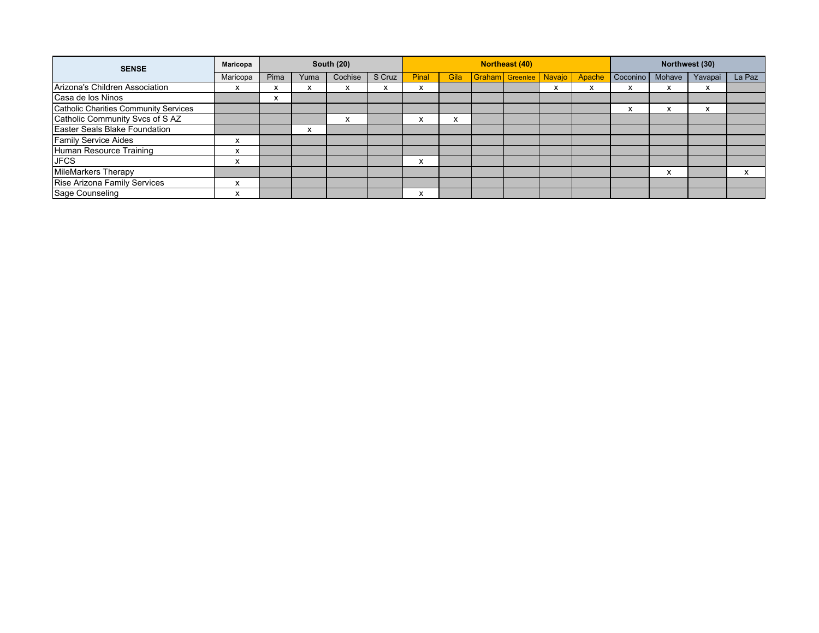| <b>SENSE</b>                          | <b>Maricopa</b> |           |        | <b>South (20)</b> |        | <b>Northeast (40)</b> |           |  |                               |           |        | Northwest (30)    |           |         |           |
|---------------------------------------|-----------------|-----------|--------|-------------------|--------|-----------------------|-----------|--|-------------------------------|-----------|--------|-------------------|-----------|---------|-----------|
|                                       | Maricopa        | Pima      | Yuma   | Cochise           | S Cruz | Pinal                 | Gila      |  | <b>Graham</b> Greenlee Navajo |           | Apache | Coconino   Mohave |           | Yavapai | La Paz    |
| Arizona's Children Association        |                 |           |        |                   |        | $\lambda$             |           |  |                               | $\lambda$ | ⋏      | ́                 |           |         |           |
| Casa de los Ninos                     |                 | $\lambda$ |        |                   |        |                       |           |  |                               |           |        |                   |           |         |           |
| Catholic Charities Community Services |                 |           |        |                   |        |                       |           |  |                               |           |        | $\lambda$         | $\lambda$ |         |           |
| Catholic Community Svcs of SAZ        |                 |           |        | $\lambda$         |        | $\lambda$             | $\lambda$ |  |                               |           |        |                   |           |         |           |
| Easter Seals Blake Foundation         |                 |           | $\sim$ |                   |        |                       |           |  |                               |           |        |                   |           |         |           |
| <b>Family Service Aides</b>           |                 |           |        |                   |        |                       |           |  |                               |           |        |                   |           |         |           |
| Human Resource Training               |                 |           |        |                   |        |                       |           |  |                               |           |        |                   |           |         |           |
| <b>JFCS</b>                           | $\lambda$       |           |        |                   |        | X                     |           |  |                               |           |        |                   |           |         |           |
| <b>MileMarkers Therapy</b>            |                 |           |        |                   |        |                       |           |  |                               |           |        |                   | X         |         | $\lambda$ |
| Rise Arizona Family Services          |                 |           |        |                   |        |                       |           |  |                               |           |        |                   |           |         |           |
| Sage Counseling                       |                 |           |        |                   |        | x                     |           |  |                               |           |        |                   |           |         |           |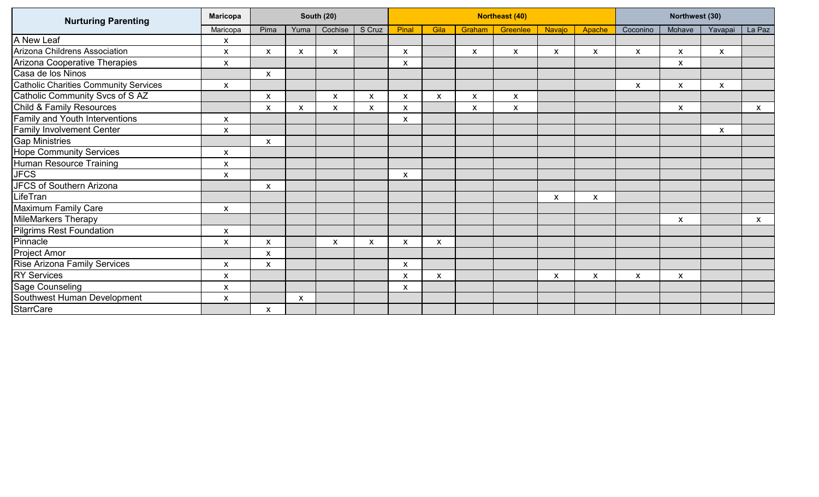| <b>Nurturing Parenting</b>            | <b>Maricopa</b>    |                           |      | <b>South (20)</b>         |        | <b>Northeast (40)</b> |              |        |          |        |        | Northwest (30)     |                    |                    |        |
|---------------------------------------|--------------------|---------------------------|------|---------------------------|--------|-----------------------|--------------|--------|----------|--------|--------|--------------------|--------------------|--------------------|--------|
|                                       | Maricopa           | Pima                      | Yuma | Cochise                   | S Cruz | Pinal                 | Gila         | Graham | Greenlee | Navajo | Apache | Coconino           | Mohave             | Yavapai            | La Paz |
| A New Leaf                            | X                  |                           |      |                           |        |                       |              |        |          |        |        |                    |                    |                    |        |
| Arizona Childrens Association         | X                  | X                         | X    | X                         |        | X                     |              | X      | X        | X      | X      | X                  | $\pmb{\mathsf{X}}$ | X                  |        |
| Arizona Cooperative Therapies         | X                  |                           |      |                           |        | X                     |              |        |          |        |        |                    | X                  |                    |        |
| Casa de los Ninos                     |                    | $\pmb{\times}$            |      |                           |        |                       |              |        |          |        |        |                    |                    |                    |        |
| Catholic Charities Community Services | $\pmb{\mathsf{X}}$ |                           |      |                           |        |                       |              |        |          |        |        | $\pmb{\mathsf{X}}$ | $\pmb{\times}$     | $\pmb{\mathsf{X}}$ |        |
| Catholic Community Svcs of SAZ        |                    | X                         |      | X                         | X      | X                     | $\mathsf{x}$ | X      | X        |        |        |                    |                    |                    |        |
| <b>Child &amp; Family Resources</b>   |                    | $\boldsymbol{\mathsf{X}}$ | X    | X                         | X      | X                     |              | X      | X        |        |        |                    | X                  |                    | X      |
| <b>Family and Youth Interventions</b> | X                  |                           |      |                           |        | X                     |              |        |          |        |        |                    |                    |                    |        |
| <b>Family Involvement Center</b>      | X                  |                           |      |                           |        |                       |              |        |          |        |        |                    |                    | X                  |        |
| <b>Gap Ministries</b>                 |                    | X                         |      |                           |        |                       |              |        |          |        |        |                    |                    |                    |        |
| <b>Hope Community Services</b>        | X                  |                           |      |                           |        |                       |              |        |          |        |        |                    |                    |                    |        |
| Human Resource Training               | X.                 |                           |      |                           |        |                       |              |        |          |        |        |                    |                    |                    |        |
| <b>JFCS</b>                           | X                  |                           |      |                           |        | X                     |              |        |          |        |        |                    |                    |                    |        |
| JFCS of Southern Arizona              |                    | X                         |      |                           |        |                       |              |        |          |        |        |                    |                    |                    |        |
| LifeTran                              |                    |                           |      |                           |        |                       |              |        |          | X      | X      |                    |                    |                    |        |
| Maximum Family Care                   | $\mathsf{x}$       |                           |      |                           |        |                       |              |        |          |        |        |                    |                    |                    |        |
| <b>MileMarkers Therapy</b>            |                    |                           |      |                           |        |                       |              |        |          |        |        |                    | X                  |                    | X      |
| Pilgrims Rest Foundation              | X                  |                           |      |                           |        |                       |              |        |          |        |        |                    |                    |                    |        |
| Pinnacle                              | x                  | X                         |      | $\boldsymbol{\mathsf{X}}$ | X      | X                     | X            |        |          |        |        |                    |                    |                    |        |
| <b>Project Amor</b>                   |                    | $\mathsf{x}$              |      |                           |        |                       |              |        |          |        |        |                    |                    |                    |        |
| <b>Rise Arizona Family Services</b>   | X                  | X                         |      |                           |        | X                     |              |        |          |        |        |                    |                    |                    |        |
| <b>RY Services</b>                    | X                  |                           |      |                           |        | X                     | X            |        |          | X      | X      | X                  | X                  |                    |        |
| Sage Counseling                       | x                  |                           |      |                           |        | X                     |              |        |          |        |        |                    |                    |                    |        |
| Southwest Human Development           | $\mathsf{x}$       |                           | X    |                           |        |                       |              |        |          |        |        |                    |                    |                    |        |
| <b>StarrCare</b>                      |                    | X                         |      |                           |        |                       |              |        |          |        |        |                    |                    |                    |        |